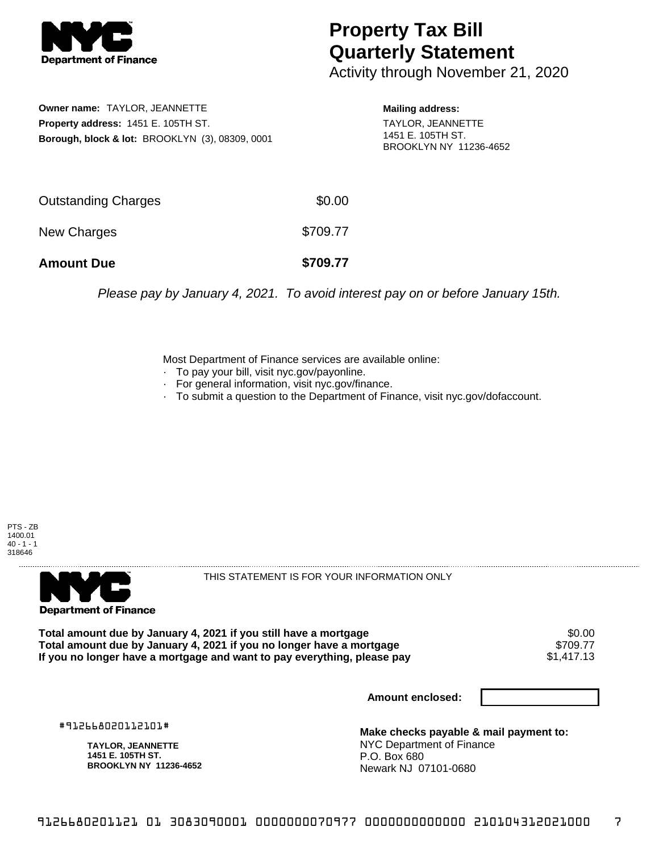

## **Property Tax Bill Quarterly Statement**

Activity through November 21, 2020

**Owner name:** TAYLOR, JEANNETTE **Property address:** 1451 E. 105TH ST. **Borough, block & lot:** BROOKLYN (3), 08309, 0001 **Mailing address:**

TAYLOR, JEANNETTE 1451 E. 105TH ST. BROOKLYN NY 11236-4652

| <b>Amount Due</b>   | \$709.77 |
|---------------------|----------|
| New Charges         | \$709.77 |
| Outstanding Charges | \$0.00   |

Please pay by January 4, 2021. To avoid interest pay on or before January 15th.

Most Department of Finance services are available online:

- · To pay your bill, visit nyc.gov/payonline.
- For general information, visit nyc.gov/finance.
- · To submit a question to the Department of Finance, visit nyc.gov/dofaccount.

PTS - ZB 1400.01  $40 - 1 - 1$ 318646



THIS STATEMENT IS FOR YOUR INFORMATION ONLY

Total amount due by January 4, 2021 if you still have a mortgage \$0.00<br>Total amount due by January 4, 2021 if you no longer have a mortgage \$709.77 **Total amount due by January 4, 2021 if you no longer have a mortgage** \$709.77 If you no longer have a mortgage and want to pay everything, please pay

**Amount enclosed:**

#912668020112101#

**TAYLOR, JEANNETTE 1451 E. 105TH ST. BROOKLYN NY 11236-4652**

**Make checks payable & mail payment to:** NYC Department of Finance P.O. Box 680 Newark NJ 07101-0680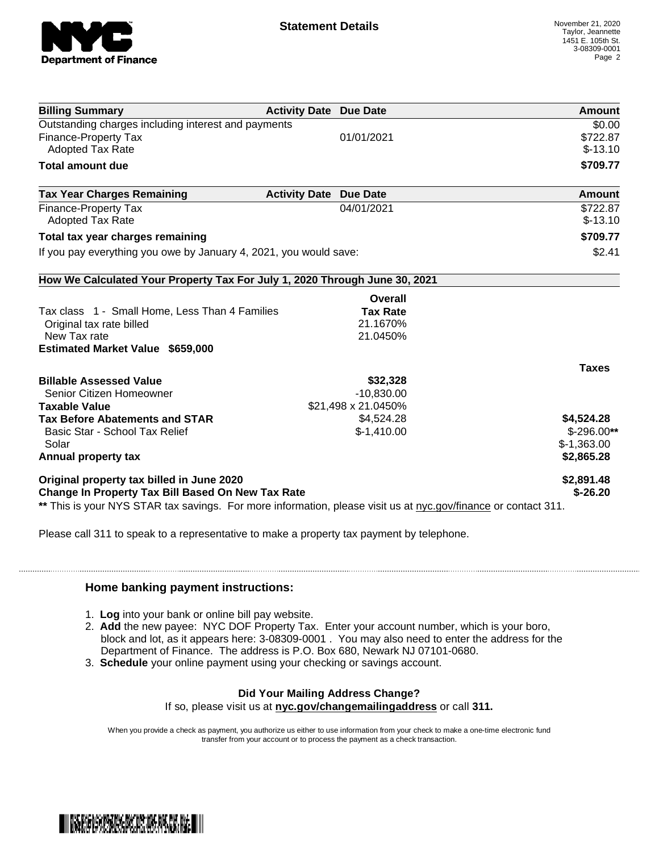

| <b>Billing Summary</b>                                                                                         | <b>Activity Date Due Date</b> | <b>Amount</b> |
|----------------------------------------------------------------------------------------------------------------|-------------------------------|---------------|
| Outstanding charges including interest and payments                                                            |                               | \$0.00        |
| <b>Finance-Property Tax</b>                                                                                    | 01/01/2021                    | \$722.87      |
| <b>Adopted Tax Rate</b>                                                                                        |                               | $$-13.10$     |
| <b>Total amount due</b>                                                                                        |                               | \$709.77      |
| <b>Tax Year Charges Remaining</b>                                                                              | <b>Activity Date Due Date</b> | Amount        |
| <b>Finance-Property Tax</b>                                                                                    | 04/01/2021                    | \$722.87      |
| <b>Adopted Tax Rate</b>                                                                                        |                               | $$-13.10$     |
| Total tax year charges remaining                                                                               |                               | \$709.77      |
| If you pay everything you owe by January 4, 2021, you would save:                                              |                               | \$2.41        |
| How We Calculated Your Property Tax For July 1, 2020 Through June 30, 2021                                     |                               |               |
|                                                                                                                | Overall                       |               |
| Tax class 1 - Small Home, Less Than 4 Families                                                                 | <b>Tax Rate</b>               |               |
| Original tax rate billed                                                                                       | 21.1670%                      |               |
| New Tax rate                                                                                                   | 21.0450%                      |               |
| <b>Estimated Market Value \$659,000</b>                                                                        |                               |               |
|                                                                                                                |                               | <b>Taxes</b>  |
| <b>Billable Assessed Value</b>                                                                                 | \$32,328                      |               |
| Senior Citizen Homeowner                                                                                       | $-10,830.00$                  |               |
| <b>Taxable Value</b>                                                                                           | \$21,498 x 21.0450%           |               |
| <b>Tax Before Abatements and STAR</b>                                                                          | \$4,524.28                    | \$4,524.28    |
| Basic Star - School Tax Relief                                                                                 | $$-1,410.00$                  | $$-296.00**$  |
| Solar                                                                                                          |                               | $$-1,363.00$  |
| Annual property tax                                                                                            |                               | \$2,865.28    |
| Original property tax billed in June 2020                                                                      |                               | \$2,891.48    |
| <b>Change In Property Tax Bill Based On New Tax Rate</b>                                                       |                               | $$-26.20$     |
| ** This is your NYS STAR tax savings. For more information, please visit us at nyc.gov/finance or contact 311. |                               |               |

Please call 311 to speak to a representative to make a property tax payment by telephone.

## **Home banking payment instructions:**

- 1. **Log** into your bank or online bill pay website.
- 2. **Add** the new payee: NYC DOF Property Tax. Enter your account number, which is your boro, block and lot, as it appears here: 3-08309-0001 . You may also need to enter the address for the Department of Finance. The address is P.O. Box 680, Newark NJ 07101-0680.
- 3. **Schedule** your online payment using your checking or savings account.

## **Did Your Mailing Address Change?**

If so, please visit us at **nyc.gov/changemailingaddress** or call **311.**

When you provide a check as payment, you authorize us either to use information from your check to make a one-time electronic fund transfer from your account or to process the payment as a check transaction.